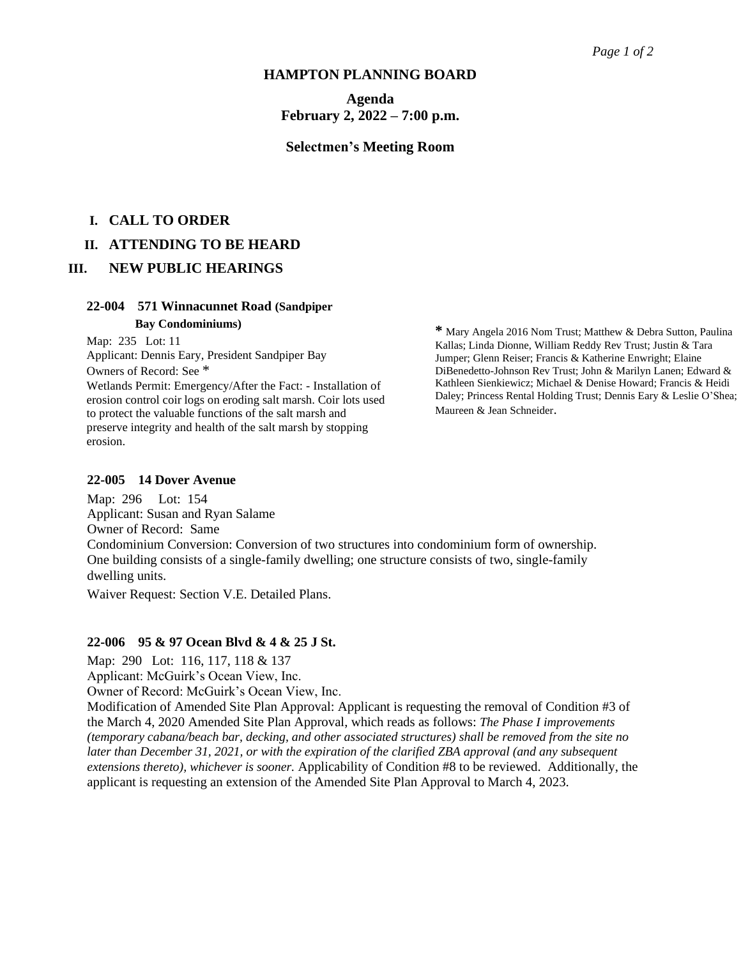#### **HAMPTON PLANNING BOARD**

**Agenda February 2, 2022 – 7:00 p.m.**

#### **Selectmen's Meeting Room**

## **I. CALL TO ORDER**

#### **II. ATTENDING TO BE HEARD**

### **III. NEW PUBLIC HEARINGS**

#### **22-004 571 Winnacunnet Road (Sandpiper**

#### **Bay Condominiums)**

Map: 235 Lot: 11

Applicant: Dennis Eary, President Sandpiper Bay Owners of Record: See \* Wetlands Permit: Emergency/After the Fact: - Installation of erosion control coir logs on eroding salt marsh. Coir lots used to protect the valuable functions of the salt marsh and preserve integrity and health of the salt marsh by stopping erosion.

**\*** Mary Angela 2016 Nom Trust; Matthew & Debra Sutton, Paulina Kallas; Linda Dionne, William Reddy Rev Trust; Justin & Tara Jumper; Glenn Reiser; Francis & Katherine Enwright; Elaine DiBenedetto-Johnson Rev Trust; John & Marilyn Lanen; Edward & Kathleen Sienkiewicz; Michael & Denise Howard; Francis & Heidi Daley; Princess Rental Holding Trust; Dennis Eary & Leslie O'Shea; Maureen & Jean Schneider.

#### **22-005 14 Dover Avenue**

Map: 296 Lot: 154 Applicant: Susan and Ryan Salame Owner of Record: Same Condominium Conversion: Conversion of two structures into condominium form of ownership. One building consists of a single-family dwelling; one structure consists of two, single-family dwelling units.

Waiver Request: Section V.E. Detailed Plans.

#### **22-006 95 & 97 Ocean Blvd & 4 & 25 J St.**

Map: 290 Lot: 116, 117, 118 & 137

Applicant: McGuirk's Ocean View, Inc.

Owner of Record: McGuirk's Ocean View, Inc.

Modification of Amended Site Plan Approval: Applicant is requesting the removal of Condition #3 of the March 4, 2020 Amended Site Plan Approval, which reads as follows: *The Phase I improvements (temporary cabana/beach bar, decking, and other associated structures) shall be removed from the site no later than December 31, 2021, or with the expiration of the clarified ZBA approval (and any subsequent extensions thereto), whichever is sooner.* Applicability of Condition #8 to be reviewed. Additionally, the applicant is requesting an extension of the Amended Site Plan Approval to March 4, 2023.